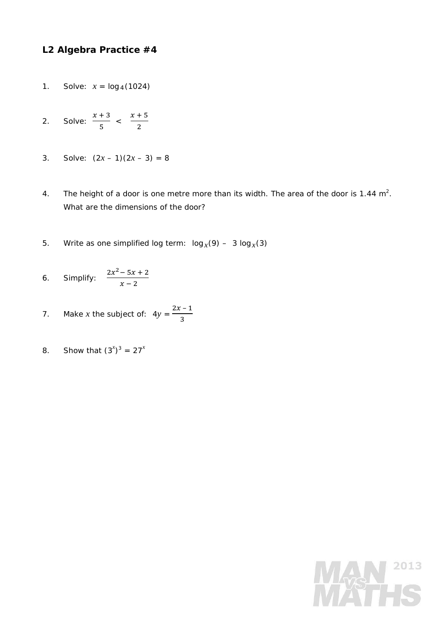## **L2 Algebra Practice #4**

- 1. Solve:  $x = log_4(1024)$
- 2. Solve:  $x + 3$  $\frac{1}{5}$  <  $x + 5$  $\overline{c}$
- 3. Solve:  $(2x 1)(2x 3) = 8$
- 4. The height of a door is one metre more than its width. The area of the door is 1.44  $m^2$ . What are the dimensions of the door?
- 5. Write as one simplified log term:  $log_x(9) 3 log_x(3)$
- 6. Simplify:  $\frac{2x^2-5x+2}{x+2}$  $x - 2$
- 7. Make *x* the subject of:  $4y = \frac{2x-1}{3}$
- 8. Show that  $(3^x)^3 = 27^x$